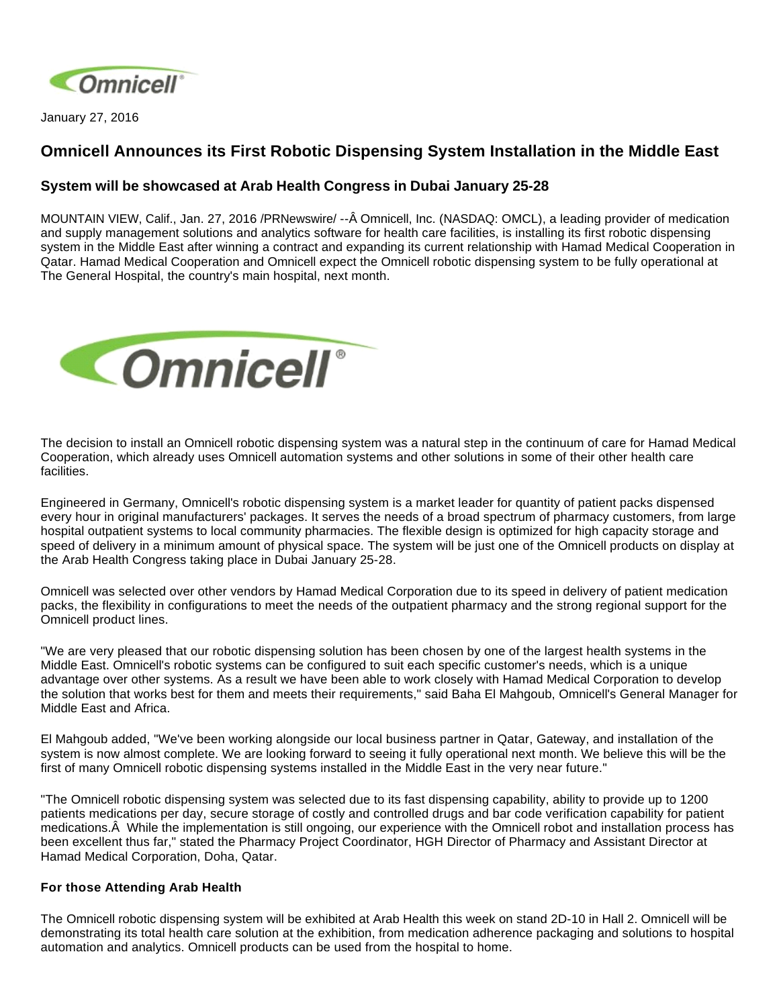

January 27, 2016

## **Omnicell Announces its First Robotic Dispensing System Installation in the Middle East**

## **System will be showcased at Arab Health Congress in Dubai January 25-28**

MOUNTAIN VIEW, Calif., Jan. 27, 2016 /PRNewswire/ --Â Omnicell, Inc. (NASDAQ: OMCL), a leading provider of medication and supply management solutions and analytics software for health care facilities, is installing its first robotic dispensing system in the Middle East after winning a contract and expanding its current relationship with Hamad Medical Cooperation in Qatar. Hamad Medical Cooperation and Omnicell expect the Omnicell robotic dispensing system to be fully operational at The General Hospital, the country's main hospital, next month.



The decision to install an Omnicell robotic dispensing system was a natural step in the continuum of care for Hamad Medical Cooperation, which already uses Omnicell automation systems and other solutions in some of their other health care facilities.

Engineered in Germany, Omnicell's robotic dispensing system is a market leader for quantity of patient packs dispensed every hour in original manufacturers' packages. It serves the needs of a broad spectrum of pharmacy customers, from large hospital outpatient systems to local community pharmacies. The flexible design is optimized for high capacity storage and speed of delivery in a minimum amount of physical space. The system will be just one of the Omnicell products on display at the Arab Health Congress taking place in Dubai January 25-28.

Omnicell was selected over other vendors by Hamad Medical Corporation due to its speed in delivery of patient medication packs, the flexibility in configurations to meet the needs of the outpatient pharmacy and the strong regional support for the Omnicell product lines.

"We are very pleased that our robotic dispensing solution has been chosen by one of the largest health systems in the Middle East. Omnicell's robotic systems can be configured to suit each specific customer's needs, which is a unique advantage over other systems. As a result we have been able to work closely with Hamad Medical Corporation to develop the solution that works best for them and meets their requirements," said Baha El Mahgoub, Omnicell's General Manager for Middle East and Africa.

El Mahgoub added, "We've been working alongside our local business partner in Qatar, Gateway, and installation of the system is now almost complete. We are looking forward to seeing it fully operational next month. We believe this will be the first of many Omnicell robotic dispensing systems installed in the Middle East in the very near future."

"The Omnicell robotic dispensing system was selected due to its fast dispensing capability, ability to provide up to 1200 patients medications per day, secure storage of costly and controlled drugs and bar code verification capability for patient medications. While the implementation is still ongoing, our experience with the Omnicell robot and installation process has been excellent thus far," stated the Pharmacy Project Coordinator, HGH Director of Pharmacy and Assistant Director at Hamad Medical Corporation, Doha, Qatar.

## **For those Attending Arab Health**

The Omnicell robotic dispensing system will be exhibited at Arab Health this week on stand 2D-10 in Hall 2. Omnicell will be demonstrating its total health care solution at the exhibition, from medication adherence packaging and solutions to hospital automation and analytics. Omnicell products can be used from the hospital to home.